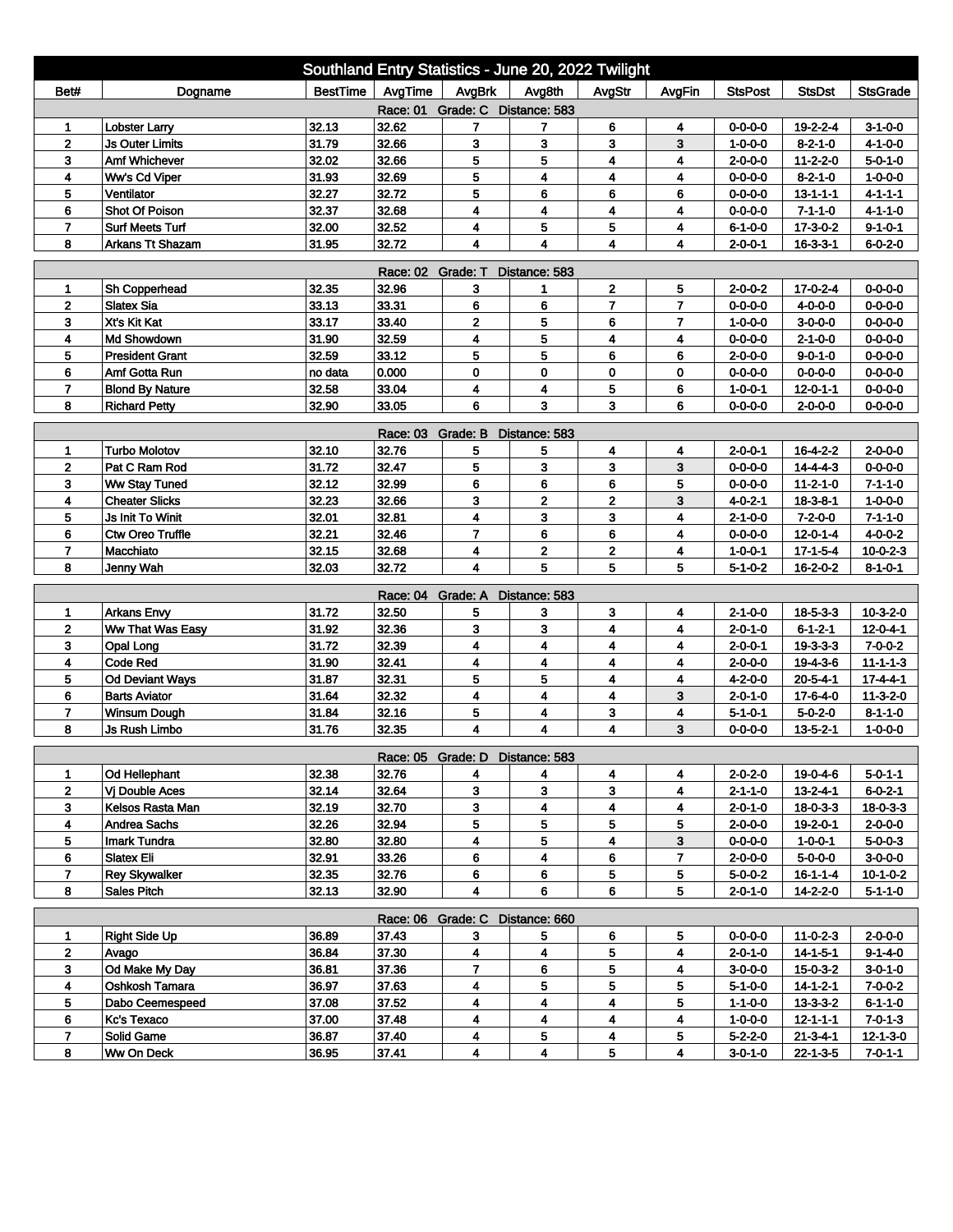| Southland Entry Statistics - June 20, 2022 Twilight                                                                   |                               |                 |                   |                                 |                         |                         |                |                                    |                        |                  |  |
|-----------------------------------------------------------------------------------------------------------------------|-------------------------------|-----------------|-------------------|---------------------------------|-------------------------|-------------------------|----------------|------------------------------------|------------------------|------------------|--|
| Bet#                                                                                                                  | Dogname                       | <b>BestTime</b> | AvgTime           | AvgBrk                          | Avg8th                  | AvgStr                  | AvgFin         | <b>StsPost</b>                     | <b>StsDst</b>          | <b>StsGrade</b>  |  |
| Race: 01 Grade: C Distance: 583                                                                                       |                               |                 |                   |                                 |                         |                         |                |                                    |                        |                  |  |
| 1                                                                                                                     | <b>Lobster Larry</b>          | 32.13           | 32.62             | 7                               | 7                       | 6                       | 4              | $0 - 0 - 0 - 0$                    | 19-2-2-4               | $3 - 1 - 0 - 0$  |  |
| $\overline{2}$                                                                                                        | <b>Js Outer Limits</b>        | 31.79           | 32.66             | 3                               | 3                       | 3                       | 3              | $1 - 0 - 0 - 0$                    | $8 - 2 - 1 - 0$        | $4 - 1 - 0 - 0$  |  |
| 3                                                                                                                     | Amf Whichever                 | 32.02           | 32.66             | 5                               | 5                       | 4                       | 4              | $2 - 0 - 0 - 0$                    | $11 - 2 - 2 - 0$       | $5 - 0 - 1 - 0$  |  |
| 4                                                                                                                     | Ww's Cd Viper                 | 31.93           | 32.69             | 5                               | 4                       | 4                       | 4              | $0 - 0 - 0 - 0$                    | $8-2-1-0$              | $1 - 0 - 0 - 0$  |  |
| 5                                                                                                                     | Ventilator                    | 32.27           | 32.72             | 5                               | 6                       | 6                       | 6              | $0 - 0 - 0 - 0$                    | $13 - 1 - 1 - 1$       | $4 - 1 - 1 - 1$  |  |
| 6                                                                                                                     | <b>Shot Of Poison</b>         | 32.37           | 32.68             | 4                               | 4                       | 4                       | 4              | $0 - 0 - 0 - 0$                    | $7 - 1 - 1 - 0$        | $4 - 1 - 1 - 0$  |  |
| $\overline{7}$                                                                                                        | <b>Surf Meets Turf</b>        | 32.00           | 32.52             | 4                               | 5                       | 5                       | 4              | $6 - 1 - 0 - 0$                    | $17 - 3 - 0 - 2$       | $9 - 1 - 0 - 1$  |  |
| 32.72<br>4<br>8<br>Arkans Tt Shazam<br>31.95<br>4<br>4<br>4<br>$2 - 0 - 0 - 1$<br>$16 - 3 - 3 - 1$<br>$6 - 0 - 2 - 0$ |                               |                 |                   |                                 |                         |                         |                |                                    |                        |                  |  |
| Race: 02 Grade: T<br>Distance: 583                                                                                    |                               |                 |                   |                                 |                         |                         |                |                                    |                        |                  |  |
| 1                                                                                                                     | Sh Copperhead                 | 32.35           | 32.96             | 3                               | 1                       | 2                       | 5              | $2 - 0 - 0 - 2$                    | 17-0-2-4               | $0 - 0 - 0 - 0$  |  |
| $\mathbf{2}$                                                                                                          | <b>Slatex Sia</b>             | 33.13           | 33.31             | 6                               | 6                       | $\overline{7}$          | $\overline{7}$ | $0 - 0 - 0 - 0$                    | 4-0-0-0                | $0 - 0 - 0 - 0$  |  |
| 3                                                                                                                     | Xt's Kit Kat                  | 33.17           | 33.40             | $\mathbf 2$                     | 5                       | 6                       | $\overline{7}$ | $1 - 0 - 0 - 0$                    | $3-0-0-0$              | $0 - 0 - 0 - 0$  |  |
| 4                                                                                                                     | Md Showdown                   | 31.90           | 32.59             | 4                               | 5                       | 4                       | 4              | $0 - 0 - 0 - 0$                    | $2 - 1 - 0 - 0$        | $0 - 0 - 0 - 0$  |  |
| 5                                                                                                                     | <b>President Grant</b>        | 32.59           | 33.12             | 5                               | 5                       | 6                       | 6              | 2-0-0-0                            | $9 - 0 - 1 - 0$        | $0 - 0 - 0 - 0$  |  |
| 6                                                                                                                     | Amf Gotta Run                 | no data         | 0.000             | 0                               | 0                       | 0                       | 0              | $0 - 0 - 0 - 0$                    | $0 - 0 - 0 - 0$        | $0 - 0 - 0 - 0$  |  |
| $\overline{7}$                                                                                                        | <b>Blond By Nature</b>        | 32.58           | 33.04             | 4                               | 4                       | 5                       | 6              | $1 - 0 - 0 - 1$                    | $12 - 0 - 1 - 1$       | $0 - 0 - 0 - 0$  |  |
| 8                                                                                                                     | <b>Richard Petty</b>          | 32.90           | 33.05             | 6                               | 3                       | 3                       | 6              | $0 - 0 - 0 - 0$                    | $2 - 0 - 0 - 0$        | $0 - 0 - 0 - 0$  |  |
|                                                                                                                       |                               |                 | Race: 03 Grade: B |                                 | Distance: 583           |                         |                |                                    |                        |                  |  |
| 1                                                                                                                     | <b>Turbo Molotov</b>          | 32.10           | 32.76             | 5                               | 5                       | 4                       | 4              | $2 - 0 - 0 - 1$                    | $16 - 4 - 2 - 2$       | $2 - 0 - 0 - 0$  |  |
| 2                                                                                                                     | Pat C Ram Rod                 | 31.72           | 32.47             | 5                               | 3                       | 3                       | 3              | $0 - 0 - 0 - 0$                    | $14 - 4 - 4 - 3$       | $0 - 0 - 0 - 0$  |  |
| 3                                                                                                                     | <b>Ww Stay Tuned</b>          | 32.12           | 32.99             | 6                               | 6                       | 6                       | 5              | $0 - 0 - 0 - 0$                    | $11 - 2 - 1 - 0$       | $7 - 1 - 1 - 0$  |  |
| 4                                                                                                                     | <b>Cheater Slicks</b>         | 32.23           | 32.66             | 3                               | $\overline{2}$          | $\overline{2}$          | 3              | 4-0-2-1                            | $18 - 3 - 8 - 1$       | $1 - 0 - 0 - 0$  |  |
| 5                                                                                                                     | Js Init To Winit              | 32.01           | 32.81             | 4                               | 3                       | 3                       | 4              | $2 - 1 - 0 - 0$                    | $7 - 2 - 0 - 0$        | $7 - 1 - 1 - 0$  |  |
| 6                                                                                                                     | <b>Ctw Oreo Truffle</b>       | 32.21           | 32.46             | $\overline{7}$                  | 6                       | 6                       | 4              | $0 - 0 - 0 - 0$                    | $12 - 0 - 1 - 4$       | $4 - 0 - 0 - 2$  |  |
| $\overline{ }$                                                                                                        | Macchiato                     | 32.15           | 32.68             | 4                               | 2                       | 2                       | 4              | $1 - 0 - 0 - 1$                    | $17 - 1 - 5 - 4$       | $10-0-2-3$       |  |
| 8                                                                                                                     | Jenny Wah                     | 32.03           | 32.72             | 4                               | 5                       | 5                       | 5              | $5 - 1 - 0 - 2$                    | 16-2-0-2               | $8 - 1 - 0 - 1$  |  |
|                                                                                                                       |                               |                 | Race: 04 Grade: A |                                 | Distance: 583           |                         |                |                                    |                        |                  |  |
| 1                                                                                                                     | <b>Arkans Envy</b>            | 31.72           | 32.50             | 5                               | 3                       | 3                       | 4              | $2 - 1 - 0 - 0$                    | $18 - 5 - 3 - 3$       | $10 - 3 - 2 - 0$ |  |
| $\overline{2}$                                                                                                        | Ww That Was Easy              | 31.92           | 32.36             | 3                               | 3                       | 4                       | 4              | $2 - 0 - 1 - 0$                    | $6 - 1 - 2 - 1$        | $12 - 0 - 4 - 1$ |  |
| 3                                                                                                                     | Opal Long                     | 31.72           | 32.39             | 4                               | 4                       | 4                       | 4              | $2 - 0 - 0 - 1$                    | $19 - 3 - 3 - 3$       | $7 - 0 - 0 - 2$  |  |
| 4                                                                                                                     | <b>Code Red</b>               | 31.90           | 32.41             | 4                               | 4                       | 4                       | 4              | $2 - 0 - 0 - 0$                    | 19-4-3-6               | $11 - 1 - 1 - 3$ |  |
| 5                                                                                                                     | <b>Od Deviant Ways</b>        | 31.87           | 32.31             | 5                               | 5                       | 4                       | 4              | $4 - 2 - 0 - 0$                    | $20 - 5 - 4 - 1$       | $17 - 4 - 4 - 1$ |  |
| 6                                                                                                                     | <b>Barts Aviator</b>          | 31.64           | 32.32             | 4                               | 4                       | 4                       | 3              | $2 - 0 - 1 - 0$                    | $17 - 6 - 4 - 0$       | $11-3-2-0$       |  |
| $\overline{7}$                                                                                                        | <b>Winsum Dough</b>           | 31.84           | 32.16             | 5                               | 4                       | 3                       | 4              | $5 - 1 - 0 - 1$                    | $5 - 0 - 2 - 0$        | $8 - 1 - 1 - 0$  |  |
| 8                                                                                                                     | Js Rush Limbo                 | 31.76           | 32.35             | 4                               | 4                       | 4                       | 3              | 0-0-0-0                            | $13 - 5 - 2 - 1$       | $1 - 0 - 0 - 0$  |  |
|                                                                                                                       |                               |                 |                   | Race: 05 Grade: D Distance: 583 |                         |                         |                |                                    |                        |                  |  |
| 1                                                                                                                     | Od Hellephant                 | 32.38           | 32.76             | 4                               | 4                       | 4                       | 4              | $2 - 0 - 2 - 0$                    | 19-0-4-6               | $5 - 0 - 1 - 1$  |  |
| $\mathbf{2}$                                                                                                          | Vj Double Aces                | 32.14           | 32.64             | 3                               | 3                       | 3                       | 4              | $2 - 1 - 1 - 0$                    | $13 - 2 - 4 - 1$       | $6 - 0 - 2 - 1$  |  |
| 3                                                                                                                     | Kelsos Rasta Man              | 32.19           | 32.70             | 3                               | 4                       | $\overline{\mathbf{4}}$ | 4              | $2 - 0 - 1 - 0$                    | $18 - 0 - 3 - 3$       | 18-0-3-3         |  |
| 4                                                                                                                     | <b>Andrea Sachs</b>           | 32.26           | 32.94             | 5                               | 5                       | 5                       | 5              | $2 - 0 - 0 - 0$                    | 19-2-0-1               | $2 - 0 - 0 - 0$  |  |
| 5                                                                                                                     | Imark Tundra                  | 32.80           | 32.80             | 4                               | 5                       | 4                       | 3              | $0 - 0 - 0 - 0$                    | $1 - 0 - 0 - 1$        | $5 - 0 - 0 - 3$  |  |
| 6                                                                                                                     | <b>Slatex Eli</b>             | 32.91           | 33.26             | 6                               | 4                       | 6                       | 7              | $2 - 0 - 0 - 0$                    | $5 - 0 - 0 - 0$        | $3-0-0-0$        |  |
| $\overline{7}$                                                                                                        | <b>Rey Skywalker</b>          | 32.35           | 32.76             | 6                               | 6                       | 5                       | 5              | $5 - 0 - 0 - 2$                    | $16 - 1 - 1 - 4$       | $10-1-0-2$       |  |
| 8                                                                                                                     | <b>Sales Pitch</b>            | 32.13           | 32.90             | 4                               | 6                       | 6                       | 5              | $2 - 0 - 1 - 0$                    | 14-2-2-0               | 5-1-1-0          |  |
|                                                                                                                       |                               |                 |                   |                                 |                         |                         |                |                                    |                        |                  |  |
|                                                                                                                       |                               | 36.89           |                   | Race: 06 Grade: C Distance: 660 |                         |                         |                |                                    |                        | $2 - 0 - 0 - 0$  |  |
| 1<br>$\mathbf{2}$                                                                                                     | <b>Right Side Up</b><br>Avago | 36.84           | 37.43<br>37.30    | 3<br>4                          | 5<br>4                  | 6<br>5                  | 5<br>4         | $0 - 0 - 0 - 0$<br>$2 - 0 - 1 - 0$ | $11-0-2-3$<br>14-1-5-1 | $9 - 1 - 4 - 0$  |  |
| 3                                                                                                                     | Od Make My Day                | 36.81           | 37.36             | 7                               | 6                       | 5                       | 4              | $3 - 0 - 0 - 0$                    | 15-0-3-2               | $3 - 0 - 1 - 0$  |  |
| 4                                                                                                                     | Oshkosh Tamara                | 36.97           | 37.63             | 4                               | 5                       | 5                       | 5              | $5 - 1 - 0 - 0$                    | $14 - 1 - 2 - 1$       | $7 - 0 - 0 - 2$  |  |
| 5                                                                                                                     | Dabo Ceemespeed               | 37.08           | 37.52             | 4                               | 4                       | 4                       | 5              | 1-1-0-0                            | $13 - 3 - 3 - 2$       | 6-1-1-0          |  |
| 6                                                                                                                     | Kc's Texaco                   | 37.00           | 37.48             | 4                               | 4                       | 4                       | 4              | $1 - 0 - 0 - 0$                    | $12 - 1 - 1 - 1$       | $7 - 0 - 1 - 3$  |  |
| $\overline{7}$                                                                                                        | Solid Game                    | 36.87           | 37.40             | 4                               | 5                       | 4                       | 5              | $5 - 2 - 2 - 0$                    | 21-3-4-1               | 12-1-3-0         |  |
| 8                                                                                                                     | Ww On Deck                    | 36.95           | 37.41             | 4                               | $\overline{\mathbf{4}}$ | 5                       | 4              | 3-0-1-0                            | 22-1-3-5               | $7 - 0 - 1 - 1$  |  |
|                                                                                                                       |                               |                 |                   |                                 |                         |                         |                |                                    |                        |                  |  |